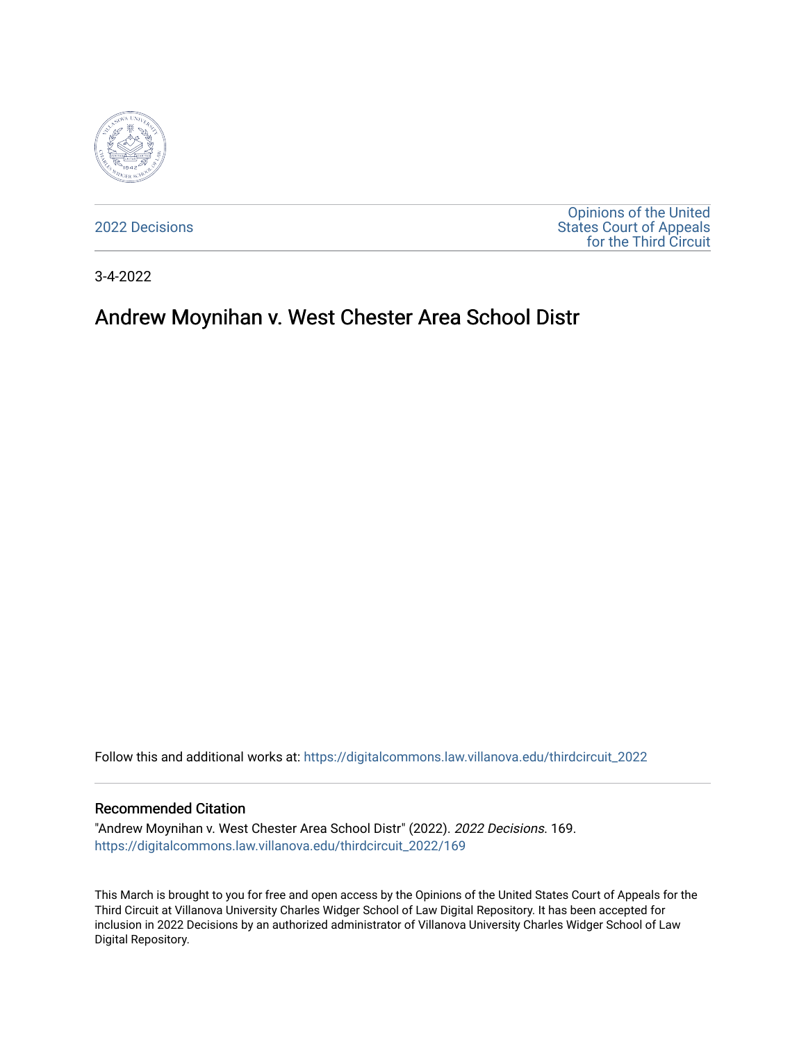

[2022 Decisions](https://digitalcommons.law.villanova.edu/thirdcircuit_2022)

[Opinions of the United](https://digitalcommons.law.villanova.edu/thirdcircuit)  [States Court of Appeals](https://digitalcommons.law.villanova.edu/thirdcircuit)  [for the Third Circuit](https://digitalcommons.law.villanova.edu/thirdcircuit) 

3-4-2022

# Andrew Moynihan v. West Chester Area School Distr

Follow this and additional works at: [https://digitalcommons.law.villanova.edu/thirdcircuit\\_2022](https://digitalcommons.law.villanova.edu/thirdcircuit_2022?utm_source=digitalcommons.law.villanova.edu%2Fthirdcircuit_2022%2F169&utm_medium=PDF&utm_campaign=PDFCoverPages) 

#### Recommended Citation

"Andrew Moynihan v. West Chester Area School Distr" (2022). 2022 Decisions. 169. [https://digitalcommons.law.villanova.edu/thirdcircuit\\_2022/169](https://digitalcommons.law.villanova.edu/thirdcircuit_2022/169?utm_source=digitalcommons.law.villanova.edu%2Fthirdcircuit_2022%2F169&utm_medium=PDF&utm_campaign=PDFCoverPages)

This March is brought to you for free and open access by the Opinions of the United States Court of Appeals for the Third Circuit at Villanova University Charles Widger School of Law Digital Repository. It has been accepted for inclusion in 2022 Decisions by an authorized administrator of Villanova University Charles Widger School of Law Digital Repository.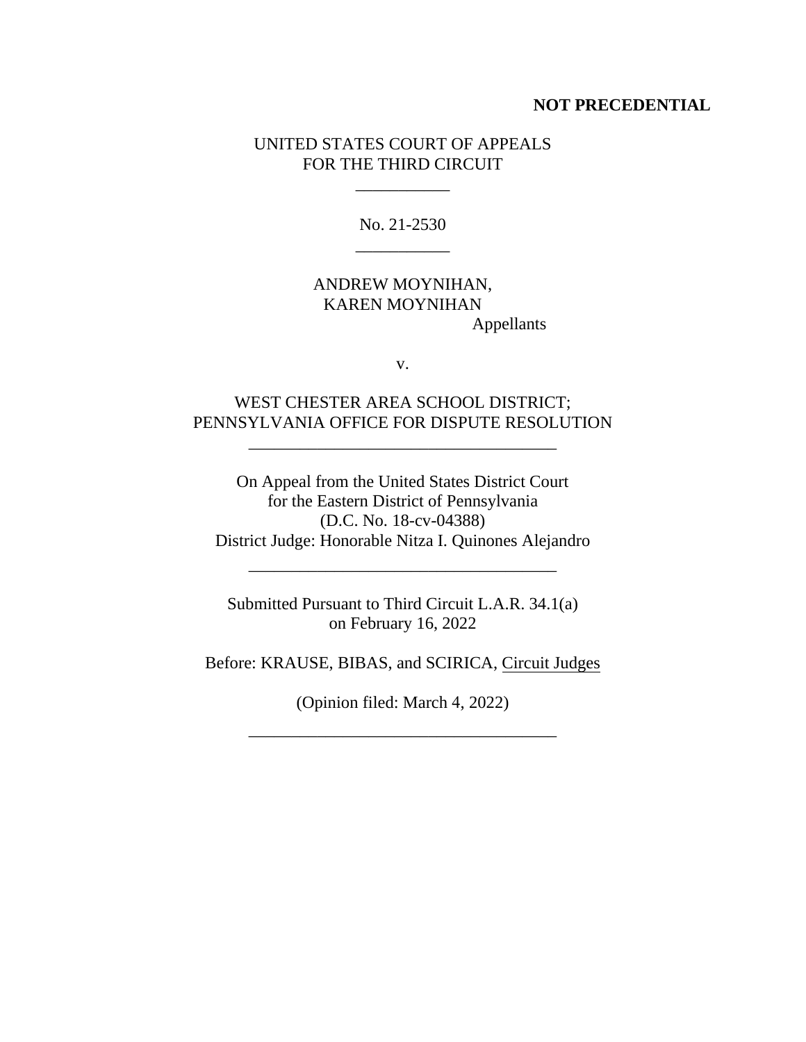#### **NOT PRECEDENTIAL**

### UNITED STATES COURT OF APPEALS FOR THE THIRD CIRCUIT

 $\mathcal{L}=\mathcal{L}$ 

No. 21-2530 \_\_\_\_\_\_\_\_\_\_\_

## ANDREW MOYNIHAN, KAREN MOYNIHAN Appellants

v.

# WEST CHESTER AREA SCHOOL DISTRICT; PENNSYLVANIA OFFICE FOR DISPUTE RESOLUTION

\_\_\_\_\_\_\_\_\_\_\_\_\_\_\_\_\_\_\_\_\_\_\_\_\_\_\_\_\_\_\_\_\_\_\_\_

On Appeal from the United States District Court for the Eastern District of Pennsylvania (D.C. No. 18-cv-04388) District Judge: Honorable Nitza I. Quinones Alejandro

\_\_\_\_\_\_\_\_\_\_\_\_\_\_\_\_\_\_\_\_\_\_\_\_\_\_\_\_\_\_\_\_\_\_\_\_

Submitted Pursuant to Third Circuit L.A.R. 34.1(a) on February 16, 2022

Before: KRAUSE, BIBAS, and SCIRICA, Circuit Judges

(Opinion filed: March 4, 2022)

\_\_\_\_\_\_\_\_\_\_\_\_\_\_\_\_\_\_\_\_\_\_\_\_\_\_\_\_\_\_\_\_\_\_\_\_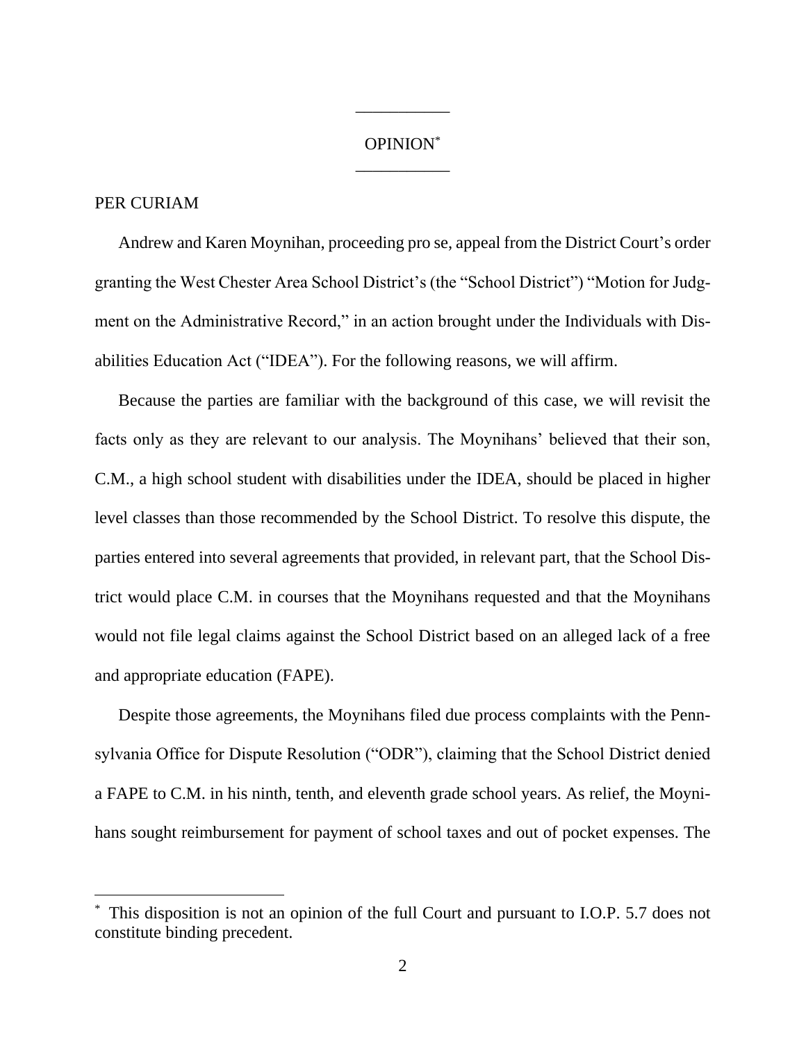## OPINION\* \_\_\_\_\_\_\_\_\_\_\_

\_\_\_\_\_\_\_\_\_\_\_

### PER CURIAM

Andrew and Karen Moynihan, proceeding pro se, appeal from the District Court's order granting the West Chester Area School District's (the "School District") "Motion for Judgment on the Administrative Record," in an action brought under the Individuals with Disabilities Education Act ("IDEA"). For the following reasons, we will affirm.

Because the parties are familiar with the background of this case, we will revisit the facts only as they are relevant to our analysis. The Moynihans' believed that their son, C.M., a high school student with disabilities under the IDEA, should be placed in higher level classes than those recommended by the School District. To resolve this dispute, the parties entered into several agreements that provided, in relevant part, that the School District would place C.M. in courses that the Moynihans requested and that the Moynihans would not file legal claims against the School District based on an alleged lack of a free and appropriate education (FAPE).

Despite those agreements, the Moynihans filed due process complaints with the Pennsylvania Office for Dispute Resolution ("ODR"), claiming that the School District denied a FAPE to C.M. in his ninth, tenth, and eleventh grade school years. As relief, the Moynihans sought reimbursement for payment of school taxes and out of pocket expenses. The

This disposition is not an opinion of the full Court and pursuant to I.O.P. 5.7 does not constitute binding precedent.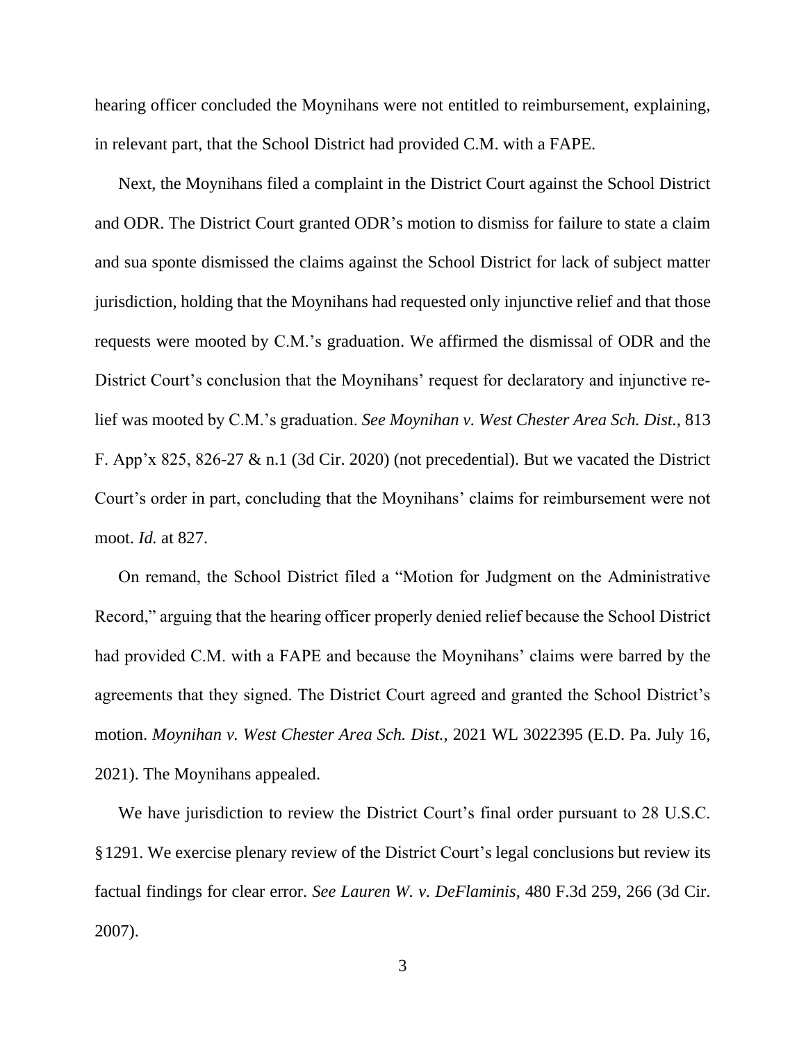hearing officer concluded the Moynihans were not entitled to reimbursement, explaining, in relevant part, that the School District had provided C.M. with a FAPE.

Next, the Moynihans filed a complaint in the District Court against the School District and ODR. The District Court granted ODR's motion to dismiss for failure to state a claim and sua sponte dismissed the claims against the School District for lack of subject matter jurisdiction, holding that the Moynihans had requested only injunctive relief and that those requests were mooted by C.M.'s graduation. We affirmed the dismissal of ODR and the District Court's conclusion that the Moynihans' request for declaratory and injunctive relief was mooted by C.M.'s graduation. *See Moynihan v. West Chester Area Sch. Dist.*, 813 F. App'x 825, 826-27 & n.1 (3d Cir. 2020) (not precedential). But we vacated the District Court's order in part, concluding that the Moynihans' claims for reimbursement were not moot. *Id.* at 827.

On remand, the School District filed a "Motion for Judgment on the Administrative Record," arguing that the hearing officer properly denied relief because the School District had provided C.M. with a FAPE and because the Moynihans' claims were barred by the agreements that they signed. The District Court agreed and granted the School District's motion. *Moynihan v. West Chester Area Sch. Dist.*, 2021 WL 3022395 (E.D. Pa. July 16, 2021). The Moynihans appealed.

We have jurisdiction to review the District Court's final order pursuant to 28 U.S.C. §1291. We exercise plenary review of the District Court's legal conclusions but review its factual findings for clear error. *See Lauren W. v. DeFlaminis*, 480 F.3d 259, 266 (3d Cir. 2007).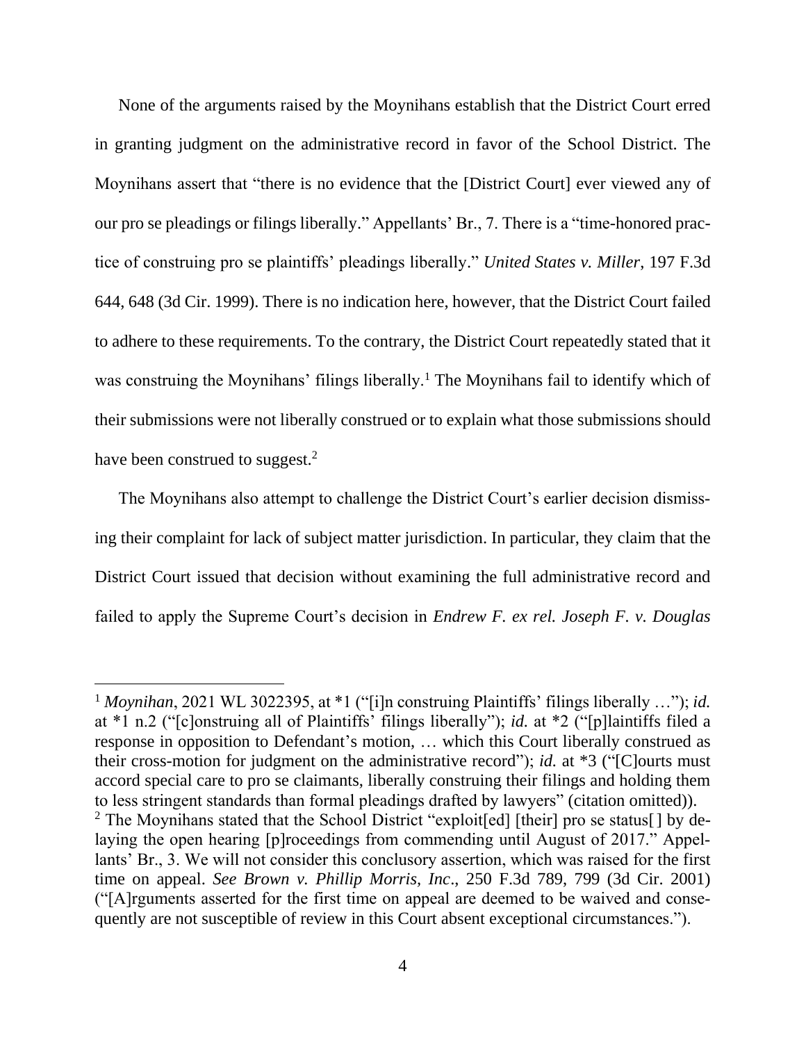None of the arguments raised by the Moynihans establish that the District Court erred in granting judgment on the administrative record in favor of the School District. The Moynihans assert that "there is no evidence that the [District Court] ever viewed any of our pro se pleadings or filings liberally." Appellants' Br., 7. There is a "time-honored practice of construing pro se plaintiffs' pleadings liberally." *United States v. Miller*, 197 F.3d 644, 648 (3d Cir. 1999). There is no indication here, however, that the District Court failed to adhere to these requirements. To the contrary, the District Court repeatedly stated that it was construing the Moynihans' filings liberally.<sup>1</sup> The Moynihans fail to identify which of their submissions were not liberally construed or to explain what those submissions should have been construed to suggest.<sup>2</sup>

The Moynihans also attempt to challenge the District Court's earlier decision dismissing their complaint for lack of subject matter jurisdiction. In particular, they claim that the District Court issued that decision without examining the full administrative record and failed to apply the Supreme Court's decision in *Endrew F. ex rel. Joseph F. v. Douglas*

<sup>1</sup> *Moynihan*, 2021 WL 3022395, at \*1 ("[i]n construing Plaintiffs' filings liberally …"); *id.* at \*1 n.2 ("[c]onstruing all of Plaintiffs' filings liberally"); *id.* at \*2 ("[p]laintiffs filed a response in opposition to Defendant's motion, … which this Court liberally construed as their cross-motion for judgment on the administrative record"); *id.* at \*3 ("[C]ourts must accord special care to pro se claimants, liberally construing their filings and holding them to less stringent standards than formal pleadings drafted by lawyers" (citation omitted)). <sup>2</sup> The Moynihans stated that the School District "exploit[ed] [their] pro se status[] by delaying the open hearing [p]roceedings from commending until August of 2017." Appellants' Br., 3. We will not consider this conclusory assertion, which was raised for the first time on appeal. *See Brown v. Phillip Morris, Inc*., 250 F.3d 789, 799 (3d Cir. 2001) ("[A]rguments asserted for the first time on appeal are deemed to be waived and consequently are not susceptible of review in this Court absent exceptional circumstances.").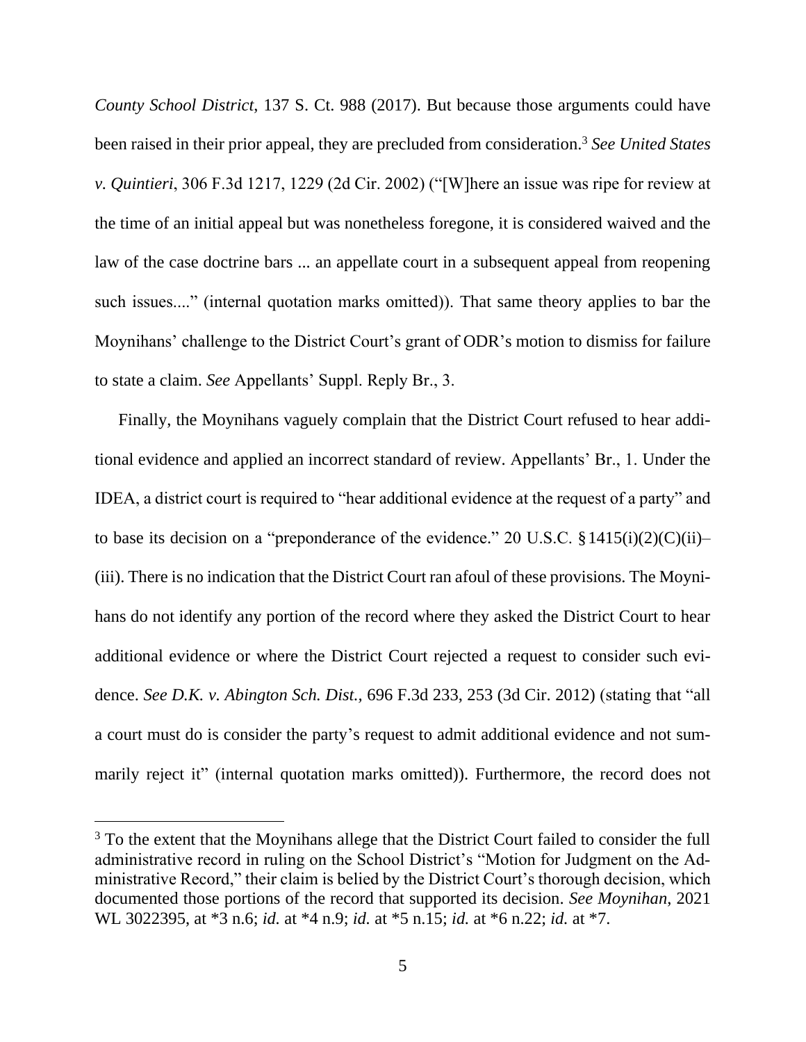*County School District*, 137 S. Ct. 988 (2017). But because those arguments could have been raised in their prior appeal, they are precluded from consideration.<sup>3</sup> *See United States v. Quintieri*, 306 F.3d 1217, 1229 (2d Cir. 2002) ("[W]here an issue was ripe for review at the time of an initial appeal but was nonetheless foregone, it is considered waived and the law of the case doctrine bars ... an appellate court in a subsequent appeal from reopening such issues...." (internal quotation marks omitted)). That same theory applies to bar the Moynihans' challenge to the District Court's grant of ODR's motion to dismiss for failure to state a claim. *See* Appellants' Suppl. Reply Br., 3.

Finally, the Moynihans vaguely complain that the District Court refused to hear additional evidence and applied an incorrect standard of review. Appellants' Br., 1. Under the IDEA, a district court is required to "hear additional evidence at the request of a party" and to base its decision on a "preponderance of the evidence." 20 U.S.C.  $\S 1415(i)(2)(C(ii)$ (iii). There is no indication that the District Court ran afoul of these provisions. The Moynihans do not identify any portion of the record where they asked the District Court to hear additional evidence or where the District Court rejected a request to consider such evidence. *See D.K. v. Abington Sch. Dist.,* 696 F.3d 233, 253 (3d Cir. 2012) (stating that "all a court must do is consider the party's request to admit additional evidence and not summarily reject it" (internal quotation marks omitted)). Furthermore, the record does not

<sup>&</sup>lt;sup>3</sup> To the extent that the Moynihans allege that the District Court failed to consider the full administrative record in ruling on the School District's "Motion for Judgment on the Administrative Record," their claim is belied by the District Court's thorough decision, which documented those portions of the record that supported its decision. *See Moynihan*, 2021 WL 3022395, at \*3 n.6; *id.* at \*4 n.9; *id.* at \*5 n.15; *id.* at \*6 n.22; *id.* at \*7.